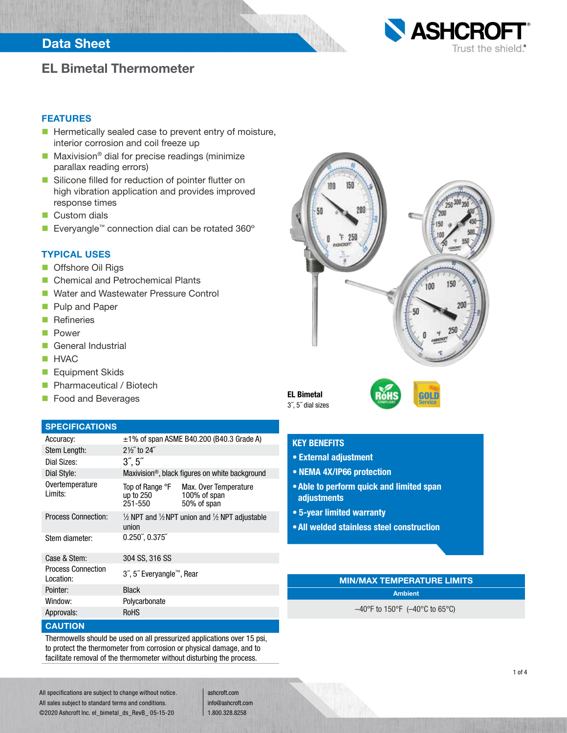## Data Sheet



## EL Bimetal Thermometer

### FEATURES

- $\blacksquare$  Hermetically sealed case to prevent entry of moisture, interior corrosion and coil freeze up
- Maxivision<sup>®</sup> dial for precise readings (minimize parallax reading errors)
- Silicone filled for reduction of pointer flutter on high vibration application and provides improved response times
- **Custom dials**
- Everyangle™ connection dial can be rotated 360°

### TYPICAL USES

- Offshore Oil Rigs
- Chemical and Petrochemical Plants
- **NATE Water and Wastewater Pressure Control**
- **Pulp and Paper**
- **Refineries**
- **Power**
- General Industrial
- **HVAC**
- **Equipment Skids**
- **Pharmaceutical / Biotech**
- **Food and Beverages**

#### SPECIFICATIONS

| Accuracy:                              |                                         | $\pm$ 1% of span ASME B40.200 (B40.3 Grade A)                                  |  |  |  |  |
|----------------------------------------|-----------------------------------------|--------------------------------------------------------------------------------|--|--|--|--|
| Stem Length:                           | $2\frac{1}{3}$ to $24$ "                |                                                                                |  |  |  |  |
| Dial Sizes:                            | 3, 5                                    |                                                                                |  |  |  |  |
| Dial Style:                            |                                         | Maxivision <sup>®</sup> , black figures on white background                    |  |  |  |  |
| Overtemperature<br>I imits:            | Top of Range °F<br>up to 250<br>251-550 | Max. Over Temperature<br>100% of span<br>50% of span                           |  |  |  |  |
| <b>Process Connection:</b>             | union                                   | $\frac{1}{2}$ NPT and $\frac{1}{2}$ NPT union and $\frac{1}{2}$ NPT adjustable |  |  |  |  |
| Stem diameter:                         | $0.250\degree$ , $0.375\degree$         |                                                                                |  |  |  |  |
| Case & Stem:                           | 304 SS, 316 SS                          |                                                                                |  |  |  |  |
| <b>Process Connection</b><br>Location: | 3", 5" Everyangle™, Rear                |                                                                                |  |  |  |  |
| Pointer:                               | <b>Black</b>                            |                                                                                |  |  |  |  |
| Window:                                | Polycarbonate                           |                                                                                |  |  |  |  |
| Approvals:                             | <b>RoHS</b>                             |                                                                                |  |  |  |  |
|                                        |                                         |                                                                                |  |  |  |  |

#### **CAUTION**

Thermowells should be used on all pressurized applications over 15 psi, to protect the thermometer from corrosion or physical damage, and to facilitate removal of the thermometer without disturbing the process.



EL Bimetal 3˝, 5˝ dial sizes



## KEY BENEFITS

- External adjustment
- NEMA 4X/IP66 protection
- •Able to perform quick and limited span adjustments
- 5-year limited warranty
- •All welded stainless steel construction

## MIN/MAX TEMPERATURE LIMITS

Ambient

–40°F to 150°F (–40°C to 65°C)

All specifications are subject to change without notice. All sales subject to standard terms and conditions. ©2020 Ashcroft Inc. el\_bimetal\_ds\_RevB\_ 05-15-20

ashcroft.com info@ashcroft.com 1.800.328.8258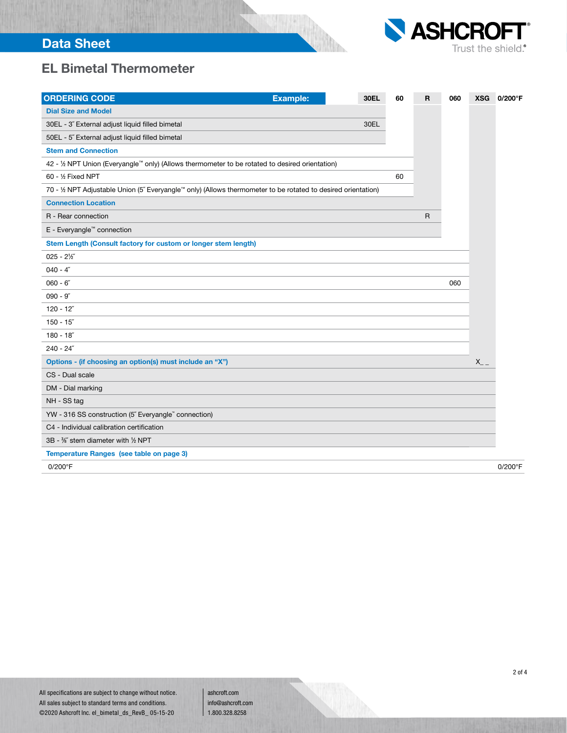

# EL Bimetal Thermometer

| <b>ORDERING CODE</b>                                                                                          | <b>Example:</b> | <b>30EL</b> | 60 | R | 060 | <b>XSG</b> | 0/200°F |
|---------------------------------------------------------------------------------------------------------------|-----------------|-------------|----|---|-----|------------|---------|
| <b>Dial Size and Model</b>                                                                                    |                 |             |    |   |     |            |         |
| 30EL - 3" External adjust liquid filled bimetal                                                               |                 | 30EL        |    |   |     |            |         |
| 50EL - 5" External adjust liquid filled bimetal                                                               |                 |             |    |   |     |            |         |
| <b>Stem and Connection</b>                                                                                    |                 |             |    |   |     |            |         |
| 42 - 1/2 NPT Union (Everyangle <sup>™</sup> only) (Allows thermometer to be rotated to desired orientation)   |                 |             |    |   |     |            |         |
| 60 - 1/2 Fixed NPT                                                                                            |                 |             | 60 |   |     |            |         |
| 70 - 1/2 NPT Adjustable Union (5" Everyangle™ only) (Allows thermometer to be rotated to desired orientation) |                 |             |    |   |     |            |         |
| <b>Connection Location</b>                                                                                    |                 |             |    |   |     |            |         |
| R - Rear connection                                                                                           |                 |             |    | R |     |            |         |
| E - Everyangle™ connection                                                                                    |                 |             |    |   |     |            |         |
| Stem Length (Consult factory for custom or longer stem length)                                                |                 |             |    |   |     |            |         |
| $025 - 2\frac{1}{2}$                                                                                          |                 |             |    |   |     |            |         |
| $040 - 4$ "                                                                                                   |                 |             |    |   |     |            |         |
| $060 - 6"$                                                                                                    |                 |             |    |   | 060 |            |         |
| $090 - 9$                                                                                                     |                 |             |    |   |     |            |         |
| $120 - 12$                                                                                                    |                 |             |    |   |     |            |         |
| $150 - 15$                                                                                                    |                 |             |    |   |     |            |         |
| $180 - 18$                                                                                                    |                 |             |    |   |     |            |         |
| $240 - 24$ "                                                                                                  |                 |             |    |   |     |            |         |
| Options - (if choosing an option(s) must include an "X")                                                      |                 |             |    |   |     | $X_{-}$    |         |
| CS - Dual scale                                                                                               |                 |             |    |   |     |            |         |
| DM - Dial marking                                                                                             |                 |             |    |   |     |            |         |
| NH - SS tag                                                                                                   |                 |             |    |   |     |            |         |
| YW - 316 SS construction (5" Everyangle" connection)                                                          |                 |             |    |   |     |            |         |
| C4 - Individual calibration certification                                                                     |                 |             |    |   |     |            |         |
| 3B - %" stem diameter with 1/2 NPT                                                                            |                 |             |    |   |     |            |         |
| Temperature Ranges (see table on page 3)                                                                      |                 |             |    |   |     |            |         |
| 0/200°F                                                                                                       |                 |             |    |   |     |            | 0/200°F |
|                                                                                                               |                 |             |    |   |     |            |         |

All specifications are subject to change without notice. All sales subject to standard terms and conditions. ©2020 Ashcroft Inc. el\_bimetal\_ds\_RevB\_ 05-15-20

ashcroft.com info@ashcroft.com 1.800.328.8258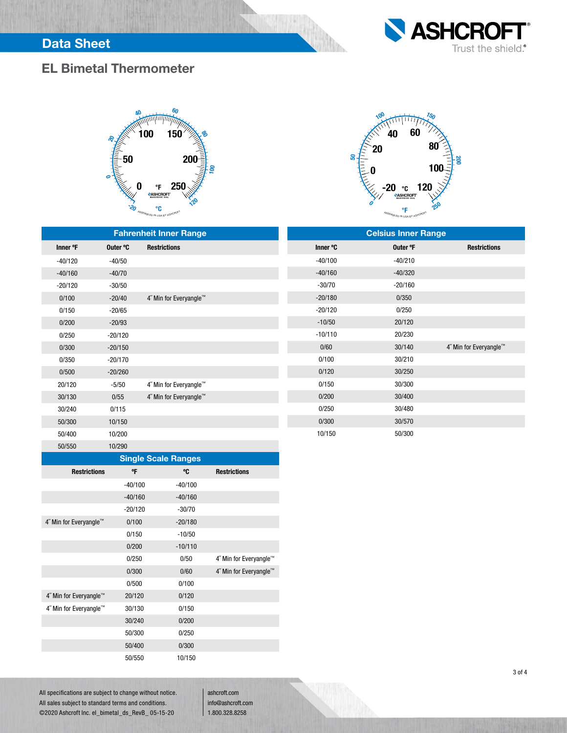



# EL Bimetal Thermometer





| <b>Fahrenheit Inner Range</b> |           |                        | <b>Celsius Inner Range</b> |           |                        |  |  |
|-------------------------------|-----------|------------------------|----------------------------|-----------|------------------------|--|--|
| Inner °F                      | Outer °C  | <b>Restrictions</b>    | Inner °C                   | Outer °F  | <b>Restrictions</b>    |  |  |
| $-40/120$                     | $-40/50$  |                        | $-40/100$                  | $-40/210$ |                        |  |  |
| $-40/160$                     | $-40/70$  |                        | $-40/160$                  | $-40/320$ |                        |  |  |
| $-20/120$                     | $-30/50$  |                        | $-30/70$                   | $-20/160$ |                        |  |  |
| 0/100                         | $-20/40$  | 4" Min for Everyangle™ | $-20/180$                  | 0/350     |                        |  |  |
| 0/150                         | $-20/65$  |                        | $-20/120$                  | 0/250     |                        |  |  |
| 0/200                         | $-20/93$  |                        | $-10/50$                   | 20/120    |                        |  |  |
| 0/250                         | $-20/120$ |                        | $-10/110$                  | 20/230    |                        |  |  |
| 0/300                         | $-20/150$ |                        | 0/60                       | 30/140    | 4" Min for Everyangle™ |  |  |
| 0/350                         | $-20/170$ |                        | 0/100                      | 30/210    |                        |  |  |
| 0/500                         | $-20/260$ |                        | 0/120                      | 30/250    |                        |  |  |
| 20/120                        | $-5/50$   | 4" Min for Everyangle™ | 0/150                      | 30/300    |                        |  |  |
| 30/130                        | 0/55      | 4" Min for Everyangle™ | 0/200                      | 30/400    |                        |  |  |
| 30/240                        | 0/115     |                        | 0/250                      | 30/480    |                        |  |  |
| 50/300                        | 10/150    |                        | 0/300                      | 30/570    |                        |  |  |
| 50/400                        | 10/200    |                        | 10/150                     | 50/300    |                        |  |  |

|  | <b>Single Scale Ranges</b> |  |
|--|----------------------------|--|
|  |                            |  |
|  |                            |  |

| <b>Single Scale Ranges</b> |           |           |                        |  |  |  |  |  |
|----------------------------|-----------|-----------|------------------------|--|--|--|--|--|
| <b>Restrictions</b>        | °Ε        | °C        | <b>Restrictions</b>    |  |  |  |  |  |
|                            | $-40/100$ | $-40/100$ |                        |  |  |  |  |  |
|                            | $-40/160$ | $-40/160$ |                        |  |  |  |  |  |
|                            | $-20/120$ | $-30/70$  |                        |  |  |  |  |  |
| 4" Min for Everyangle™     | 0/100     | $-20/180$ |                        |  |  |  |  |  |
|                            | 0/150     | $-10/50$  |                        |  |  |  |  |  |
|                            | 0/200     | $-10/110$ |                        |  |  |  |  |  |
|                            | 0/250     | 0/50      | 4" Min for Everyangle™ |  |  |  |  |  |
|                            | 0/300     | 0/60      | 4" Min for Everyangle™ |  |  |  |  |  |
|                            | 0/500     | 0/100     |                        |  |  |  |  |  |
| 4" Min for Everyangle™     | 20/120    | 0/120     |                        |  |  |  |  |  |
| 4" Min for Everyangle™     | 30/130    | 0/150     |                        |  |  |  |  |  |
|                            | 30/240    | 0/200     |                        |  |  |  |  |  |
|                            | 50/300    | 0/250     |                        |  |  |  |  |  |
|                            | 50/400    | 0/300     |                        |  |  |  |  |  |
|                            | 50/550    | 10/150    |                        |  |  |  |  |  |

All specifications are subject to change without notice. All sales subject to standard terms and conditions. ©2020 Ashcroft Inc. el\_bimetal\_ds\_RevB\_ 05-15-20

50/550 10/290

ashcroft.com info@ashcroft.com 1.800.328.8258

3 of 4